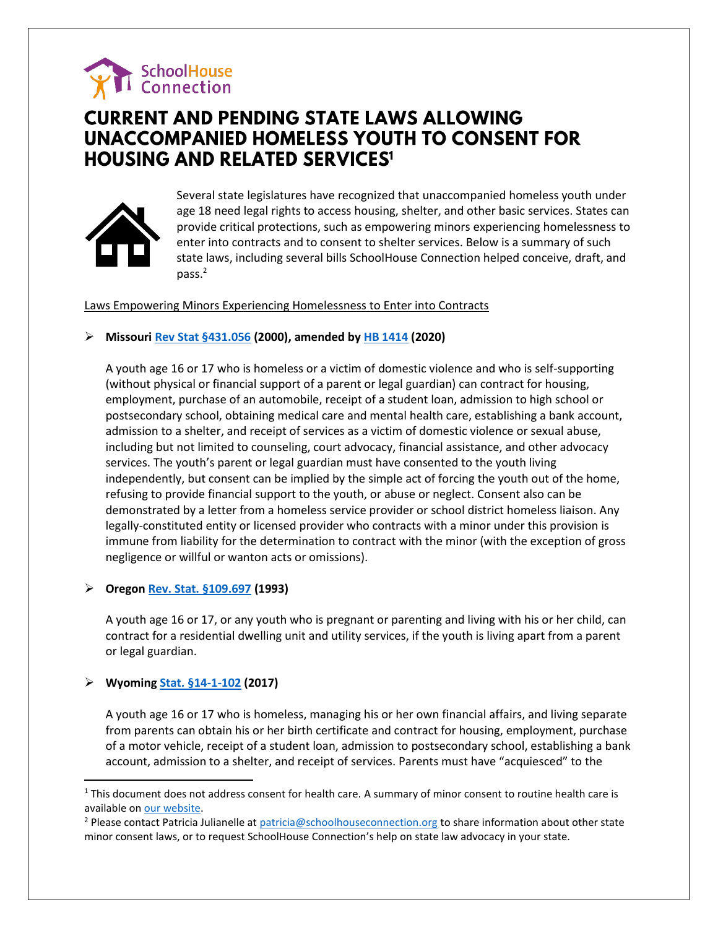

# **CURRENT AND PENDING STATE LAWS ALLOWING UNACCOMPANIED HOMELESS YOUTH TO CONSENT FOR HOUSING AND RELATED SERVICES1**



Several state legislatures have recognized that unaccompanied homeless youth under age 18 need legal rights to access housing, shelter, and other basic services. States can provide critical protections, such as empowering minors experiencing homelessness to enter into contracts and to consent to shelter services. Below is a summary of such state laws, including several bills SchoolHouse Connection helped conceive, draft, and pass.<sup>2</sup>

# Laws Empowering Minors Experiencing Homelessness to Enter into Contracts

# ➢ **Missouri [Rev Stat §431.056](http://www.moga.mo.gov/mostatutes/stathtml/43100000561.html) (2000), amended by [HB 1414](https://www.legiscan.com/MO/bill/HB1414/2020) (2020)**

A youth age 16 or 17 who is homeless or a victim of domestic violence and who is self-supporting (without physical or financial support of a parent or legal guardian) can contract for housing, employment, purchase of an automobile, receipt of a student loan, admission to high school or postsecondary school, obtaining medical care and mental health care, establishing a bank account, admission to a shelter, and receipt of services as a victim of domestic violence or sexual abuse, including but not limited to counseling, court advocacy, financial assistance, and other advocacy services. The youth's parent or legal guardian must have consented to the youth living independently, but consent can be implied by the simple act of forcing the youth out of the home, refusing to provide financial support to the youth, or abuse or neglect. Consent also can be demonstrated by a letter from a homeless service provider or school district homeless liaison. Any legally-constituted entity or licensed provider who contracts with a minor under this provision is immune from liability for the determination to contract with the minor (with the exception of gross negligence or willful or wanton acts or omissions).

# ➢ **Orego[n Rev. Stat. §109.697](https://www.oregonlaws.org/ors/109.697) (1993)**

A youth age 16 or 17, or any youth who is pregnant or parenting and living with his or her child, can contract for a residential dwelling unit and utility services, if the youth is living apart from a parent or legal guardian.

# ➢ **Wyoming [Stat. §14-1-102](https://law.justia.com/codes/wyoming/2017/title-14/chapter-1/article-1/section-14-1-102/) (2017)**

l

A youth age 16 or 17 who is homeless, managing his or her own financial affairs, and living separate from parents can obtain his or her birth certificate and contract for housing, employment, purchase of a motor vehicle, receipt of a student loan, admission to postsecondary school, establishing a bank account, admission to a shelter, and receipt of services. Parents must have "acquiesced" to the

 $1$  This document does not address consent for health care. A summary of minor consent to routine health care is available on [our website.](https://www.schoolhouseconnection.org/minor-consent-to-routine-medical-care/)

<sup>&</sup>lt;sup>2</sup> Please contact Patricia Julianelle a[t patricia@schoolhouseconnection.org](mailto:patricia@schoolhouseconnection.org) to share information about other state minor consent laws, or to request SchoolHouse Connection's help on state law advocacy in your state.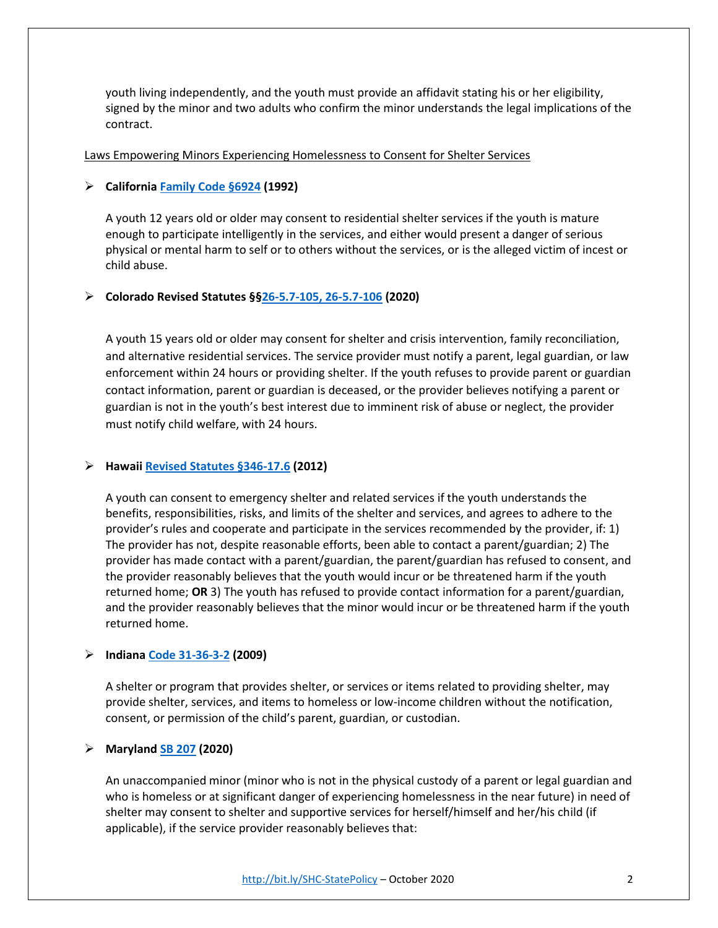youth living independently, and the youth must provide an affidavit stating his or her eligibility, signed by the minor and two adults who confirm the minor understands the legal implications of the contract.

#### Laws Empowering Minors Experiencing Homelessness to Consent for Shelter Services

# ➢ **Californi[a Family Code §6924](http://leginfo.legislature.ca.gov/faces/codes_displaySection.xhtml?lawCode=FAM§ionNum=6924.) (1992)**

A youth 12 years old or older may consent to residential shelter services if the youth is mature enough to participate intelligently in the services, and either would present a danger of serious physical or mental harm to self or to others without the services, or is the alleged victim of incest or child abuse.

# ➢ **Colorado Revised Statutes §[§26-5.7-105, 26-5.7-106](http://custom.statenet.com/public/resources.cgi?id=ID:bill:CO2020000S106&ciq=schererhousing&client_md=c0f7e83019a94168f191482813d4d823&mode=current_text) (2020)**

A youth 15 years old or older may consent for shelter and crisis intervention, family reconciliation, and alternative residential services. The service provider must notify a parent, legal guardian, or law enforcement within 24 hours or providing shelter. If the youth refuses to provide parent or guardian contact information, parent or guardian is deceased, or the provider believes notifying a parent or guardian is not in the youth's best interest due to imminent risk of abuse or neglect, the provider must notify child welfare, with 24 hours.

# ➢ **Hawaii [Revised Statutes §346-17.6](https://law.justia.com/codes/hawaii/2012/title-20/chapter-346/section-346-17.6) (2012)**

A youth can consent to emergency shelter and related services if the youth understands the benefits, responsibilities, risks, and limits of the shelter and services, and agrees to adhere to the provider's rules and cooperate and participate in the services recommended by the provider, if: 1) The provider has not, despite reasonable efforts, been able to contact a parent/guardian; 2) The provider has made contact with a parent/guardian, the parent/guardian has refused to consent, and the provider reasonably believes that the youth would incur or be threatened harm if the youth returned home; **OR** 3) The youth has refused to provide contact information for a parent/guardian, and the provider reasonably believes that the minor would incur or be threatened harm if the youth returned home.

# ➢ **Indian[a Code 31-36-3-2](https://iga.in.gov/legislative/laws/2017/ic/titles/031#31-36-3) (2009)**

A shelter or program that provides shelter, or services or items related to providing shelter, may provide shelter, services, and items to homeless or low-income children without the notification, consent, or permission of the child's parent, guardian, or custodian.

# ➢ **Marylan[d SB 207](https://legiscan.com/MD/bill/SB207/2020) (2020)**

An unaccompanied minor (minor who is not in the physical custody of a parent or legal guardian and who is homeless or at significant danger of experiencing homelessness in the near future) in need of shelter may consent to shelter and supportive services for herself/himself and her/his child (if applicable), if the service provider reasonably believes that: